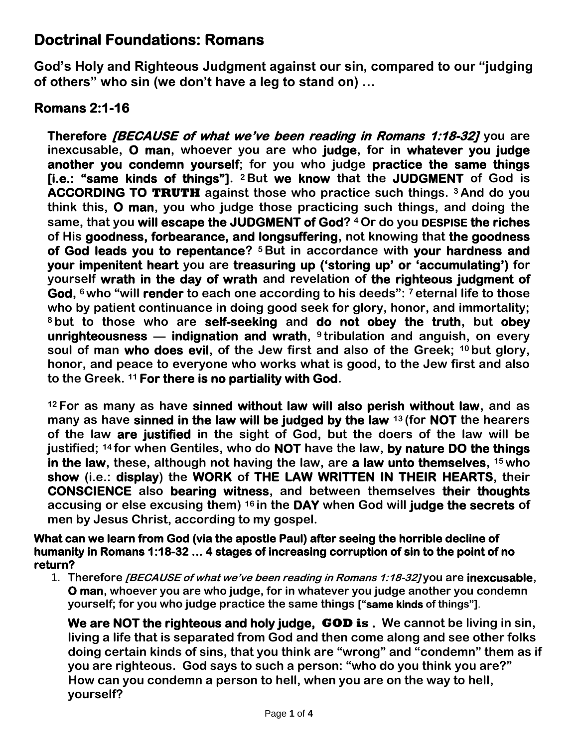## **Doctrinal Foundations: Romans**

**God's Holy and Righteous Judgment against our sin, compared to our "judging of others" who sin (we don't have a leg to stand on) …**

## **Romans 2:1-16**

**Therefore** *[BECAUSE of what we've been reading in Romans 1:18-32]* **you are inexcusable, O man, whoever you are who judge, for in whatever you judge another you condemn yourself; for you who judge practice the same things [i.e.: "same kinds of things"]. <sup>2</sup> But we know that the JUDGMENT of God is ACCORDING TO TRUTH against those who practice such things. <sup>3</sup> And do you think this, O man, you who judge those practicing such things, and doing the same, that you will escape the JUDGMENT of God? <sup>4</sup> Or do you DESPISE the riches of His goodness, forbearance, and longsuffering, not knowing that the goodness of God leads you to repentance? <sup>5</sup> But in accordance with your hardness and your impenitent heart you are treasuring up ('storing up' or 'accumulating') for yourself wrath in the day of wrath and revelation of the righteous judgment of God, <sup>6</sup> who "will render to each one according to his deeds": <sup>7</sup> eternal life to those who by patient continuance in doing good seek for glory, honor, and immortality; <sup>8</sup> but to those who are self-seeking and do not obey the truth, but obey unrighteousness — indignation and wrath, <sup>9</sup> tribulation and anguish, on every soul of man who does evil, of the Jew first and also of the Greek; <sup>10</sup> but glory, honor, and peace to everyone who works what is good, to the Jew first and also to the Greek. <sup>11</sup> For there is no partiality with God.**

**<sup>12</sup> For as many as have sinned without law will also perish without law, and as many as have sinned in the law will be judged by the law <sup>13</sup> (for NOT the hearers of the law are justified in the sight of God, but the doers of the law will be justified; <sup>14</sup> for when Gentiles, who do NOT have the law, by nature DO the things in the law, these, although not having the law, are a law unto themselves, <sup>15</sup> who show (i.e.: display) the WORK of THE LAW WRITTEN IN THEIR HEARTS, their CONSCIENCE also bearing witness, and between themselves their thoughts accusing or else excusing them) <sup>16</sup> in the DAY when God will judge the secrets of men by Jesus Christ, according to my gospel.**

## **What can we learn from God (via the apostle Paul) after seeing the horrible decline of humanity in Romans 1:18-32 … 4 stages of increasing corruption of sin to the point of no return?**

1. **Therefore [BECAUSE of what we've been reading in Romans 1:18-32] you are inexcusable, O man, whoever you are who judge, for in whatever you judge another you condemn yourself; for you who judge practice the same things ["same kinds of things"].**

**We are NOT the righteous and holy judge, GOD is . We cannot be living in sin, living a life that is separated from God and then come along and see other folks doing certain kinds of sins, that you think are "wrong" and "condemn" them as if you are righteous. God says to such a person: "who do you think you are?" How can you condemn a person to hell, when you are on the way to hell, yourself?**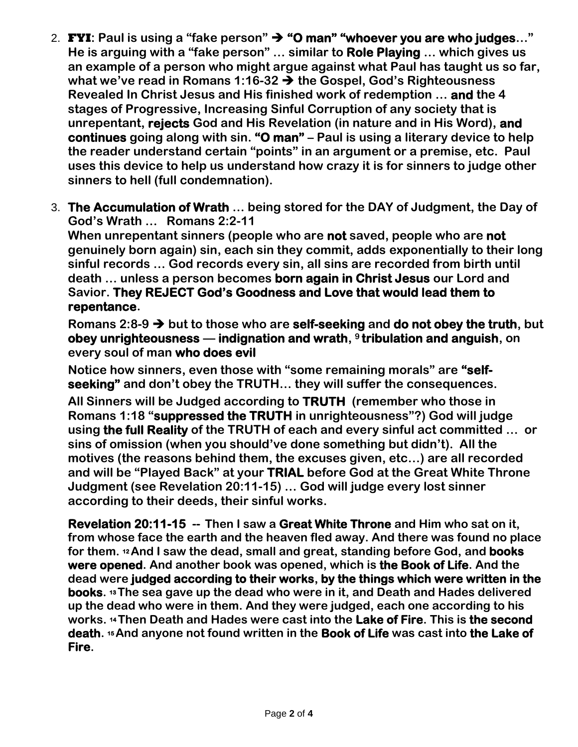- 2. **FYI: Paul is using a "fake person" "O man" "whoever you are who judges…" He is arguing with a "fake person" … similar to Role Playing … which gives us an example of a person who might argue against what Paul has taught us so far, what we've read in Romans 1:16-32 the Gospel, God's Righteousness Revealed In Christ Jesus and His finished work of redemption … and the 4 stages of Progressive, Increasing Sinful Corruption of any society that is unrepentant, rejects God and His Revelation (in nature and in His Word), and continues going along with sin. "O man" – Paul is using a literary device to help the reader understand certain "points" in an argument or a premise, etc. Paul uses this device to help us understand how crazy it is for sinners to judge other sinners to hell (full condemnation).**
- 3. **The Accumulation of Wrath … being stored for the DAY of Judgment, the Day of God's Wrath … Romans 2:2-11**

**When unrepentant sinners (people who are not saved, people who are not genuinely born again) sin, each sin they commit, adds exponentially to their long sinful records … God records every sin, all sins are recorded from birth until death … unless a person becomes born again in Christ Jesus our Lord and Savior. They REJECT God's Goodness and Love that would lead them to repentance.**

**Romans 2:8-9 but to those who are self-seeking and do not obey the truth, but obey unrighteousness — indignation and wrath, <sup>9</sup> tribulation and anguish, on every soul of man who does evil** 

**Notice how sinners, even those with "some remaining morals" are "selfseeking" and don't obey the TRUTH… they will suffer the consequences.**

**All Sinners will be Judged according to TRUTH (remember who those in Romans 1:18 "suppressed the TRUTH in unrighteousness"?) God will judge using the full Reality of the TRUTH of each and every sinful act committed … or sins of omission (when you should've done something but didn't). All the motives (the reasons behind them, the excuses given, etc…) are all recorded and will be "Played Back" at your TRIAL before God at the Great White Throne Judgment (see Revelation 20:11-15) … God will judge every lost sinner according to their deeds, their sinful works.**

**Revelation 20:11-15 -- Then I saw a Great White Throne and Him who sat on it, from whose face the earth and the heaven fled away. And there was found no place for them. <sup>12</sup>And I saw the dead, small and great, standing before God, and books were opened. And another book was opened, which is the Book of Life. And the dead were judged according to their works, by the things which were written in the books. <sup>13</sup>The sea gave up the dead who were in it, and Death and Hades delivered up the dead who were in them. And they were judged, each one according to his works. <sup>14</sup>Then Death and Hades were cast into the Lake of Fire. This is the second death. <sup>15</sup>And anyone not found written in the Book of Life was cast into the Lake of Fire.**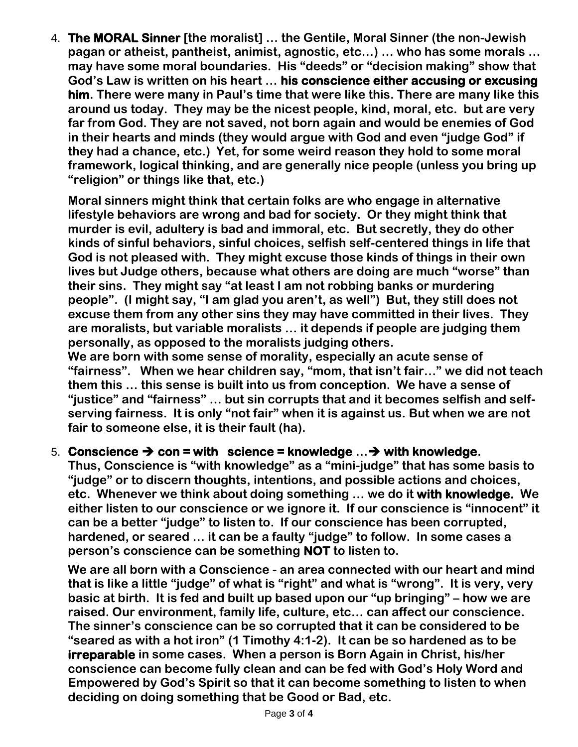4. **The MORAL Sinner [the moralist] … the Gentile, Moral Sinner (the non-Jewish pagan or atheist, pantheist, animist, agnostic, etc…) … who has some morals … may have some moral boundaries. His "deeds" or "decision making" show that God's Law is written on his heart … his conscience either accusing or excusing him. There were many in Paul's time that were like this. There are many like this around us today. They may be the nicest people, kind, moral, etc. but are very far from God. They are not saved, not born again and would be enemies of God in their hearts and minds (they would argue with God and even "judge God" if they had a chance, etc.) Yet, for some weird reason they hold to some moral framework, logical thinking, and are generally nice people (unless you bring up "religion" or things like that, etc.)**

**Moral sinners might think that certain folks are who engage in alternative lifestyle behaviors are wrong and bad for society. Or they might think that murder is evil, adultery is bad and immoral, etc. But secretly, they do other kinds of sinful behaviors, sinful choices, selfish self-centered things in life that God is not pleased with. They might excuse those kinds of things in their own lives but Judge others, because what others are doing are much "worse" than their sins. They might say "at least I am not robbing banks or murdering people". (I might say, "I am glad you aren't, as well") But, they still does not excuse them from any other sins they may have committed in their lives. They are moralists, but variable moralists … it depends if people are judging them personally, as opposed to the moralists judging others.** 

**We are born with some sense of morality, especially an acute sense of "fairness". When we hear children say, "mom, that isn't fair…" we did not teach them this … this sense is built into us from conception. We have a sense of "justice" and "fairness" … but sin corrupts that and it becomes selfish and selfserving fairness. It is only "not fair" when it is against us. But when we are not fair to someone else, it is their fault (ha).**

## 5. Conscience  $\rightarrow$  con = with science = knowledge  $\ldots \rightarrow$  with knowledge.

**Thus, Conscience is "with knowledge" as a "mini-judge" that has some basis to "judge" or to discern thoughts, intentions, and possible actions and choices, etc. Whenever we think about doing something … we do it with knowledge. We either listen to our conscience or we ignore it. If our conscience is "innocent" it can be a better "judge" to listen to. If our conscience has been corrupted, hardened, or seared … it can be a faulty "judge" to follow. In some cases a person's conscience can be something NOT to listen to.**

**We are all born with a Conscience - an area connected with our heart and mind that is like a little "judge" of what is "right" and what is "wrong". It is very, very basic at birth. It is fed and built up based upon our "up bringing" – how we are raised. Our environment, family life, culture, etc… can affect our conscience. The sinner's conscience can be so corrupted that it can be considered to be "seared as with a hot iron" (1 Timothy 4:1-2). It can be so hardened as to be irreparable in some cases. When a person is Born Again in Christ, his/her conscience can become fully clean and can be fed with God's Holy Word and Empowered by God's Spirit so that it can become something to listen to when deciding on doing something that be Good or Bad, etc.**